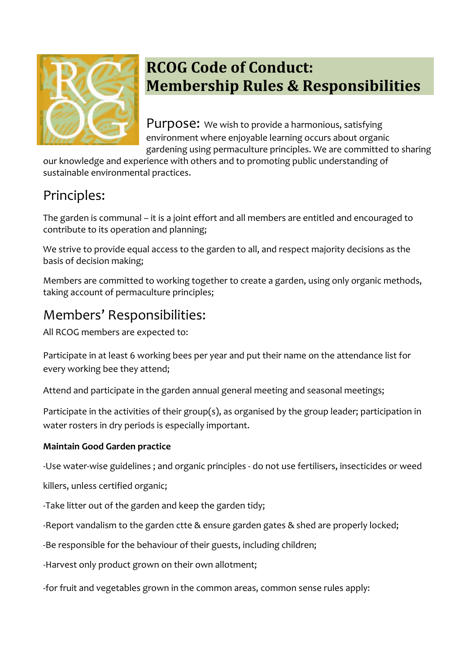

# **RCOG Code of Conduct: Membership Rules & Responsibilities**

Purpose: We wish to provide a harmonious, satisfying environment where enjoyable learning occurs about organic gardening using permaculture principles. We are committed to sharing

our knowledge and experience with others and to promoting public understanding of sustainable environmental practices.

## Principles:

The garden is communal – it is a joint effort and all members are entitled and encouraged to contribute to its operation and planning;

We strive to provide equal access to the garden to all, and respect majority decisions as the basis of decision making;

Members are committed to working together to create a garden, using only organic methods, taking account of permaculture principles;

## Members' Responsibilities:

All RCOG members are expected to:

Participate in at least 6 working bees per year and put their name on the attendance list for every working bee they attend;

Attend and participate in the garden annual general meeting and seasonal meetings;

Participate in the activities of their group(s), as organised by the group leader; participation in water rosters in dry periods is especially important.

#### **Maintain Good Garden practice**

‐Use water‐wise guidelines ; and organic principles - do not use fertilisers, insecticides or weed

killers, unless certified organic;

‐Take litter out of the garden and keep the garden tidy;

‐Report vandalism to the garden ctte & ensure garden gates & shed are properly locked;

‐Be responsible for the behaviour of their guests, including children;

‐Harvest only product grown on their own allotment;

-for fruit and vegetables grown in the common areas, common sense rules apply: